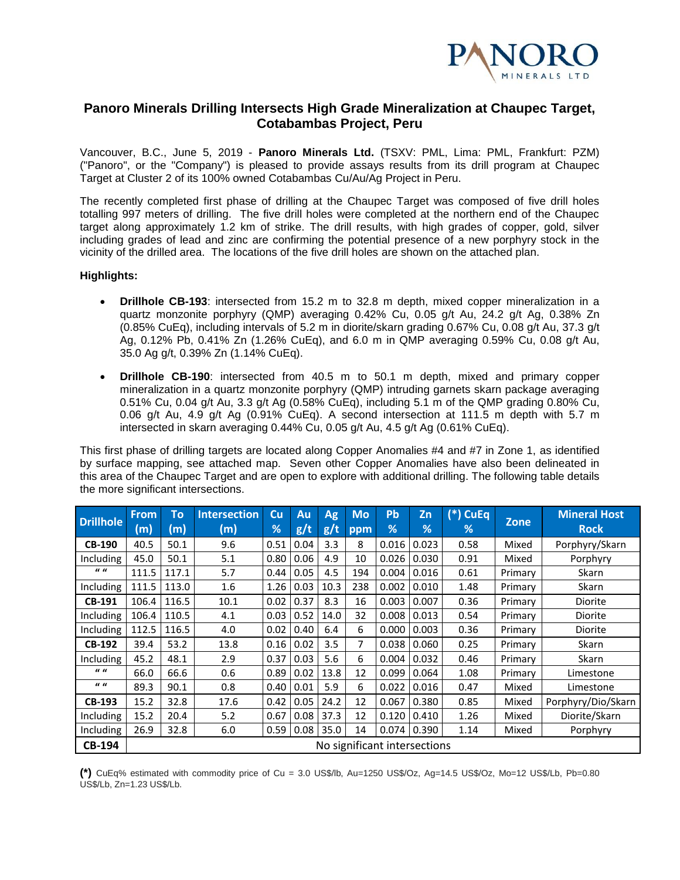

# **Panoro Minerals Drilling Intersects High Grade Mineralization at Chaupec Target, Cotabambas Project, Peru**

Vancouver, B.C., June 5, 2019 - **Panoro Minerals Ltd.** (TSXV: PML, Lima: PML, Frankfurt: PZM) ("Panoro", or the "Company") is pleased to provide assays results from its drill program at Chaupec Target at Cluster 2 of its 100% owned Cotabambas Cu/Au/Ag Project in Peru.

The recently completed first phase of drilling at the Chaupec Target was composed of five drill holes totalling 997 meters of drilling. The five drill holes were completed at the northern end of the Chaupec target along approximately 1.2 km of strike. The drill results, with high grades of copper, gold, silver including grades of lead and zinc are confirming the potential presence of a new porphyry stock in the vicinity of the drilled area. The locations of the five drill holes are shown on the attached plan.

#### **Highlights:**

- **Drillhole CB-193**: intersected from 15.2 m to 32.8 m depth, mixed copper mineralization in a quartz monzonite porphyry (QMP) averaging 0.42% Cu, 0.05 g/t Au, 24.2 g/t Ag, 0.38% Zn (0.85% CuEq), including intervals of 5.2 m in diorite/skarn grading 0.67% Cu, 0.08 g/t Au, 37.3 g/t Ag, 0.12% Pb, 0.41% Zn (1.26% CuEq), and 6.0 m in QMP averaging 0.59% Cu, 0.08 g/t Au, 35.0 Ag g/t, 0.39% Zn (1.14% CuEq).
- **Drillhole CB-190**: intersected from 40.5 m to 50.1 m depth, mixed and primary copper mineralization in a quartz monzonite porphyry (QMP) intruding garnets skarn package averaging 0.51% Cu, 0.04 g/t Au, 3.3 g/t Ag (0.58% CuEq), including 5.1 m of the QMP grading 0.80% Cu, 0.06 g/t Au, 4.9 g/t Ag (0.91% CuEq). A second intersection at 111.5 m depth with 5.7 m intersected in skarn averaging 0.44% Cu, 0.05 g/t Au, 4.5 g/t Ag (0.61% CuEq).

This first phase of drilling targets are located along Copper Anomalies #4 and #7 in Zone 1, as identified by surface mapping, [see attached map.](https://panoro.com/site/assets/files/4019/2019-06-04-chaupec-geo.pdf) Seven other Copper Anomalies have also been delineated in this area of the Chaupec Target and are open to explore with additional drilling. The following table details the more significant intersections.

| <b>Drillhole</b> | <b>From</b><br>(m)           | To<br>(m) | <b>Intersection</b><br>(m) | Cu<br>% | Au<br>g/t | <b>Ag</b><br>g/t | <b>Mo</b><br>ppm | Pb<br>% | Zn<br>% | $(*)$ CuEq<br>% | <b>Zone</b> | <b>Mineral Host</b><br><b>Rock</b> |
|------------------|------------------------------|-----------|----------------------------|---------|-----------|------------------|------------------|---------|---------|-----------------|-------------|------------------------------------|
| <b>CB-190</b>    | 40.5                         | 50.1      | 9.6                        | 0.51    | 0.04      | 3.3              | 8                | 0.016   | 0.023   | 0.58            | Mixed       | Porphyry/Skarn                     |
| Including        | 45.0                         | 50.1      | 5.1                        | 0.80    | 0.06      | 4.9              | 10               | 0.026   | 0.030   | 0.91            | Mixed       | Porphyry                           |
| $\boldsymbol{u}$ | 111.5                        | 117.1     | 5.7                        | 0.44    | 0.05      | 4.5              | 194              | 0.004   | 0.016   | 0.61            | Primary     | Skarn                              |
| Including        | 111.5                        | 113.0     | 1.6                        | 1.26    | 0.03      | 10.3             | 238              | 0.002   | 0.010   | 1.48            | Primary     | Skarn                              |
| <b>CB-191</b>    | 106.4                        | 116.5     | 10.1                       | 0.02    | 0.37      | 8.3              | 16               | 0.003   | 0.007   | 0.36            | Primary     | Diorite                            |
| Including        | 106.4                        | 110.5     | 4.1                        | 0.03    | 0.52      | 14.0             | 32               | 0.008   | 0.013   | 0.54            | Primary     | Diorite                            |
| Including        | 112.5                        | 116.5     | 4.0                        | 0.02    | 0.40      | 6.4              | 6                | 0.000   | 0.003   | 0.36            | Primary     | Diorite                            |
| <b>CB-192</b>    | 39.4                         | 53.2      | 13.8                       | 0.16    | 0.02      | 3.5              | 7                | 0.038   | 0.060   | 0.25            | Primary     | Skarn                              |
| <b>Including</b> | 45.2                         | 48.1      | 2.9                        | 0.37    | 0.03      | 5.6              | 6                | 0.004   | 0.032   | 0.46            | Primary     | Skarn                              |
| $\boldsymbol{u}$ | 66.0                         | 66.6      | 0.6                        | 0.89    | 0.02      | 13.8             | 12               | 0.099   | 0.064   | 1.08            | Primary     | Limestone                          |
| $\boldsymbol{u}$ | 89.3                         | 90.1      | $0.8\,$                    | 0.40    | 0.01      | 5.9              | 6                | 0.022   | 0.016   | 0.47            | Mixed       | Limestone                          |
| <b>CB-193</b>    | 15.2                         | 32.8      | 17.6                       | 0.42    | 0.05      | 24.2             | 12               | 0.067   | 0.380   | 0.85            | Mixed       | Porphyry/Dio/Skarn                 |
| <b>Including</b> | 15.2                         | 20.4      | 5.2                        | 0.67    | 0.08      | 37.3             | 12               | 0.120   | 0.410   | 1.26            | Mixed       | Diorite/Skarn                      |
| Including        | 26.9                         | 32.8      | 6.0                        | 0.59    | 0.08      | 35.0             | 14               | 0.074   | 0.390   | 1.14            | Mixed       | Porphyry                           |
| <b>CB-194</b>    | No significant intersections |           |                            |         |           |                  |                  |         |         |                 |             |                                    |

**(\*)** CuEq% estimated with commodity price of Cu = 3.0 US\$/lb, Au=1250 US\$/Oz, Ag=14.5 US\$/Oz, Mo=12 US\$/Lb, Pb=0.80 US\$/Lb, Zn=1.23 US\$/Lb.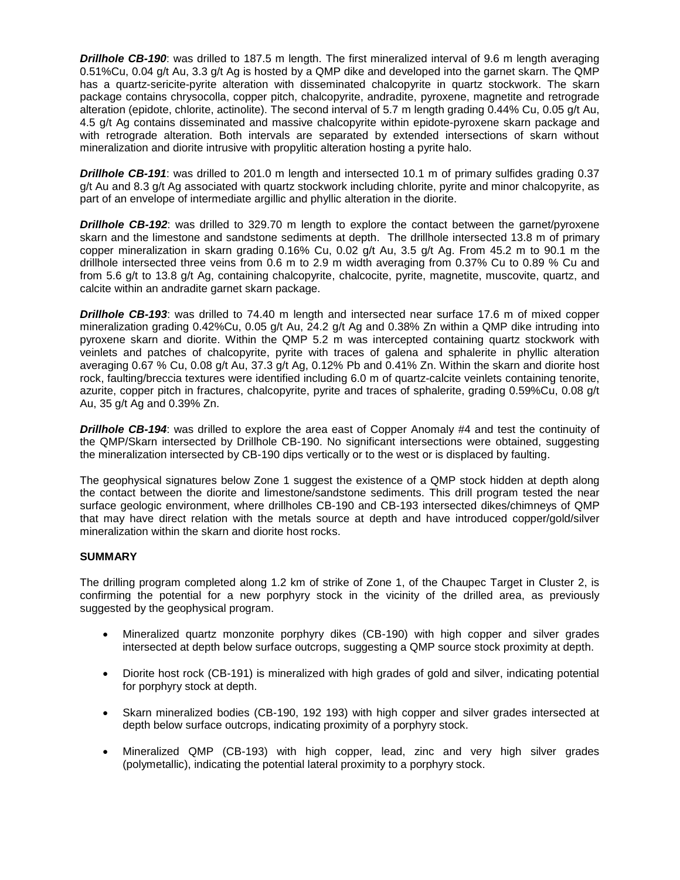*Drillhole CB-190*: was drilled to 187.5 m length. The first mineralized interval of 9.6 m length averaging 0.51%Cu, 0.04 g/t Au, 3.3 g/t Ag is hosted by a QMP dike and developed into the garnet skarn. The QMP has a quartz-sericite-pyrite alteration with disseminated chalcopyrite in quartz stockwork. The skarn package contains chrysocolla, copper pitch, chalcopyrite, andradite, pyroxene, magnetite and retrograde alteration (epidote, chlorite, actinolite). The second interval of 5.7 m length grading 0.44% Cu, 0.05 g/t Au, 4.5 g/t Ag contains disseminated and massive chalcopyrite within epidote-pyroxene skarn package and with retrograde alteration. Both intervals are separated by extended intersections of skarn without mineralization and diorite intrusive with propylitic alteration hosting a pyrite halo.

**Drillhole CB-191**: was drilled to 201.0 m length and intersected 10.1 m of primary sulfides grading 0.37 g/t Au and 8.3 g/t Ag associated with quartz stockwork including chlorite, pyrite and minor chalcopyrite, as part of an envelope of intermediate argillic and phyllic alteration in the diorite.

*Drillhole CB-192*: was drilled to 329.70 m length to explore the contact between the garnet/pyroxene skarn and the limestone and sandstone sediments at depth. The drillhole intersected 13.8 m of primary copper mineralization in skarn grading 0.16% Cu, 0.02 g/t Au, 3.5 g/t Ag. From 45.2 m to 90.1 m the drillhole intersected three veins from 0.6 m to 2.9 m width averaging from 0.37% Cu to 0.89 % Cu and from 5.6 g/t to 13.8 g/t Ag, containing chalcopyrite, chalcocite, pyrite, magnetite, muscovite, quartz, and calcite within an andradite garnet skarn package.

*Drillhole CB-193*: was drilled to 74.40 m length and intersected near surface 17.6 m of mixed copper mineralization grading 0.42%Cu, 0.05 g/t Au, 24.2 g/t Ag and 0.38% Zn within a QMP dike intruding into pyroxene skarn and diorite. Within the QMP 5.2 m was intercepted containing quartz stockwork with veinlets and patches of chalcopyrite, pyrite with traces of galena and sphalerite in phyllic alteration averaging 0.67 % Cu, 0.08 g/t Au, 37.3 g/t Ag, 0.12% Pb and 0.41% Zn. Within the skarn and diorite host rock, faulting/breccia textures were identified including 6.0 m of quartz-calcite veinlets containing tenorite, azurite, copper pitch in fractures, chalcopyrite, pyrite and traces of sphalerite, grading 0.59%Cu, 0.08 g/t Au, 35 g/t Ag and 0.39% Zn.

*Drillhole CB-194*: was drilled to explore the area east of Copper Anomaly #4 and test the continuity of the QMP/Skarn intersected by Drillhole CB-190. No significant intersections were obtained, suggesting the mineralization intersected by CB-190 dips vertically or to the west or is displaced by faulting.

The geophysical signatures below Zone 1 suggest the existence of a QMP stock hidden at depth along the contact between the diorite and limestone/sandstone sediments. This drill program tested the near surface geologic environment, where drillholes CB-190 and CB-193 intersected dikes/chimneys of QMP that may have direct relation with the metals source at depth and have introduced copper/gold/silver mineralization within the skarn and diorite host rocks.

#### **SUMMARY**

The drilling program completed along 1.2 km of strike of Zone 1, of the Chaupec Target in Cluster 2, is confirming the potential for a new porphyry stock in the vicinity of the drilled area, as previously suggested by the geophysical program.

- Mineralized quartz monzonite porphyry dikes (CB-190) with high copper and silver grades intersected at depth below surface outcrops, suggesting a QMP source stock proximity at depth.
- Diorite host rock (CB-191) is mineralized with high grades of gold and silver, indicating potential for porphyry stock at depth.
- Skarn mineralized bodies (CB-190, 192 193) with high copper and silver grades intersected at depth below surface outcrops, indicating proximity of a porphyry stock.
- Mineralized QMP (CB-193) with high copper, lead, zinc and very high silver grades (polymetallic), indicating the potential lateral proximity to a porphyry stock.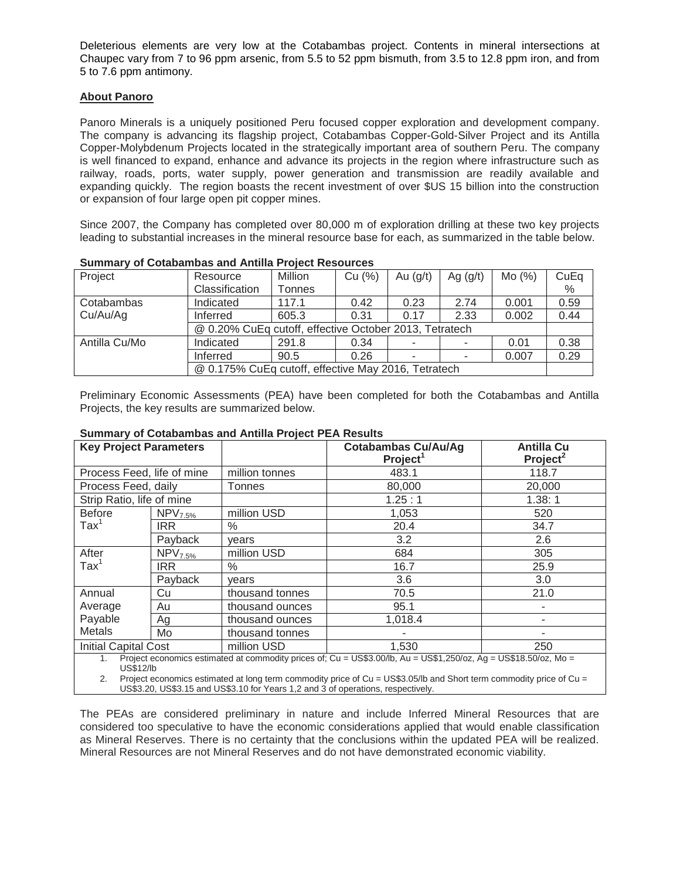Deleterious elements are very low at the Cotabambas project. Contents in mineral intersections at Chaupec vary from 7 to 96 ppm arsenic, from 5.5 to 52 ppm bismuth, from 3.5 to 12.8 ppm iron, and from 5 to 7.6 ppm antimony.

## **About Panoro**

Panoro Minerals is a uniquely positioned Peru focused copper exploration and development company. The company is advancing its flagship project, Cotabambas Copper-Gold-Silver Project and its Antilla Copper-Molybdenum Projects located in the strategically important area of southern Peru. The company is well financed to expand, enhance and advance its projects in the region where infrastructure such as railway, roads, ports, water supply, power generation and transmission are readily available and expanding quickly. The region boasts the recent investment of over \$US 15 billion into the construction or expansion of four large open pit copper mines.

Since 2007, the Company has completed over 80,000 m of exploration drilling at these two key projects leading to substantial increases in the mineral resource base for each, as summarized in the table below.

| Project       | Resource                                               | Million | Cu (%) | Au $(g/t)$ | Ag $(g/t)$ | Mo(%) | CuEq |  |  |
|---------------|--------------------------------------------------------|---------|--------|------------|------------|-------|------|--|--|
|               | Classification                                         | Tonnes  |        |            |            |       | %    |  |  |
| Cotabambas    | Indicated                                              | 117.1   | 0.42   | 0.23       | 2.74       | 0.001 | 0.59 |  |  |
| Cu/Au/Ag      | Inferred                                               | 605.3   | 0.31   | 0.17       | 2.33       | 0.002 | 0.44 |  |  |
|               | @ 0.20% CuEq cutoff, effective October 2013, Tetratech |         |        |            |            |       |      |  |  |
| Antilla Cu/Mo | Indicated                                              | 291.8   | 0.34   |            |            | 0.01  | 0.38 |  |  |
|               | Inferred                                               | 90.5    | 0.26   |            |            | 0.007 | 0.29 |  |  |
|               | @ 0.175% CuEq cutoff, effective May 2016, Tetratech    |         |        |            |            |       |      |  |  |

|  |  | <b>Summary of Cotabambas and Antilla Project Resources</b> |  |  |  |  |  |
|--|--|------------------------------------------------------------|--|--|--|--|--|
|--|--|------------------------------------------------------------|--|--|--|--|--|

Preliminary Economic Assessments (PEA) have been completed for both the Cotabambas and Antilla Projects, the key results are summarized below.

| <b>Key Project Parameters</b> |                     |                 | <b>Cotabambas Cu/Au/Ag</b><br>Project <sup>1</sup>                                                               | <b>Antilla Cu</b><br>Project <sup>2</sup> |  |
|-------------------------------|---------------------|-----------------|------------------------------------------------------------------------------------------------------------------|-------------------------------------------|--|
| Process Feed, life of mine    |                     | million tonnes  | 483.1                                                                                                            | 118.7                                     |  |
| Process Feed, daily           |                     | Tonnes          | 80,000                                                                                                           | 20,000                                    |  |
| Strip Ratio, life of mine     |                     |                 | 1.25:1                                                                                                           | 1.38:1                                    |  |
| <b>Before</b>                 | NPV <sub>7.5%</sub> | million USD     | 1,053                                                                                                            | 520                                       |  |
| $\text{Tax}^1$                | IRR.                | $\frac{0}{0}$   | 20.4                                                                                                             | 34.7                                      |  |
|                               | Payback             | vears           | 3.2                                                                                                              | 2.6                                       |  |
| After                         | NPV <sub>7.5%</sub> | million USD     | 684                                                                                                              | 305                                       |  |
| $\text{Tax}^1$                | <b>IRR</b>          | $\%$            | 16.7                                                                                                             | 25.9                                      |  |
|                               | Payback             | vears           | 3.6                                                                                                              | 3.0                                       |  |
| Annual                        | Cu                  | thousand tonnes | 70.5                                                                                                             | 21.0                                      |  |
| Average                       | Au                  | thousand ounces | 95.1                                                                                                             | ٠                                         |  |
| Payable                       | Ag                  | thousand ounces | 1,018.4                                                                                                          | ٠                                         |  |
| <b>Metals</b>                 | Mo                  | thousand tonnes |                                                                                                                  |                                           |  |
| <b>Initial Capital Cost</b>   |                     | million USD     | 1,530                                                                                                            | 250                                       |  |
| 1.<br><b>US\$12/lb</b>        |                     |                 | Project economics estimated at commodity prices of; Cu = US\$3.00/lb, Au = US\$1,250/oz, Ag = US\$18.50/oz, Mo = |                                           |  |

### **Summary of Cotabambas and Antilla Project PEA Results**

US\$12/lb 2. Project economics estimated at long term commodity price of Cu = US\$3.05/lb and Short term commodity price of Cu =

US\$3.20, US\$3.15 and US\$3.10 for Years 1,2 and 3 of operations, respectively.

The PEAs are considered preliminary in nature and include Inferred Mineral Resources that are considered too speculative to have the economic considerations applied that would enable classification as Mineral Reserves. There is no certainty that the conclusions within the updated PEA will be realized. Mineral Resources are not Mineral Reserves and do not have demonstrated economic viability.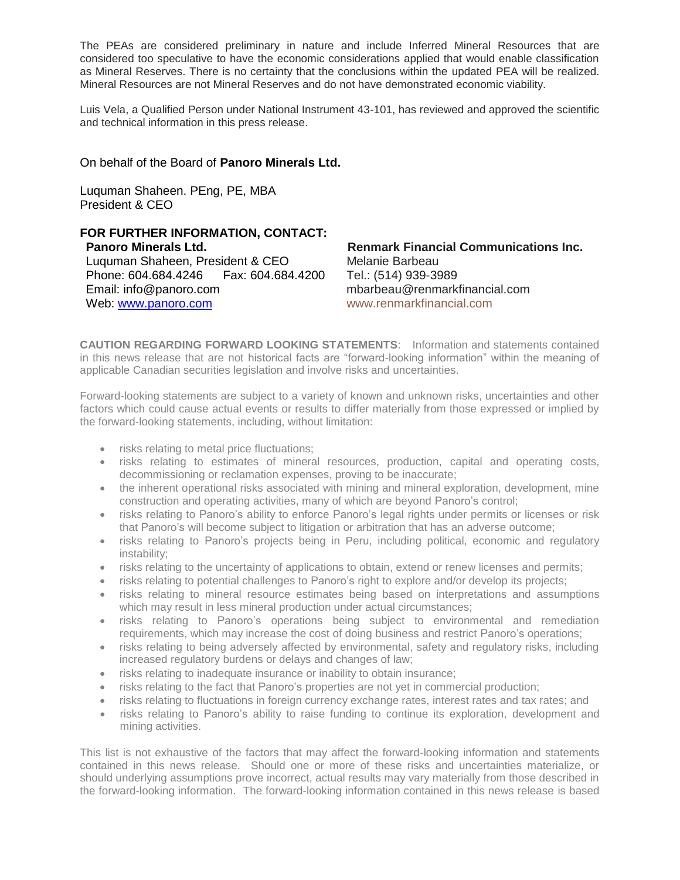The PEAs are considered preliminary in nature and include Inferred Mineral Resources that are considered too speculative to have the economic considerations applied that would enable classification as Mineral Reserves. There is no certainty that the conclusions within the updated PEA will be realized. Mineral Resources are not Mineral Reserves and do not have demonstrated economic viability.

Luis Vela, a Qualified Person under National Instrument 43-101, has reviewed and approved the scientific and technical information in this press release.

# On behalf of the Board of **Panoro Minerals Ltd.**

Luquman Shaheen. PEng, PE, MBA President & CEO

## **FOR FURTHER INFORMATION, CONTACT: Panoro Minerals Ltd.** Luquman Shaheen, President & CEO<br>Phone: 604.684.4246 Fax: 604.684.4200 Phone: 604.684.4246 Email: info@panoro.com Web: [www.panoro.com](http://www.panoro.com/)

**Renmark Financial Communications Inc.**  Melanie Barbeau Tel.: (514) 939-3989 mbarbeau@renmarkfinancial.com [www.renmarkfinancial.com](http://www.renmarkfinancial.com/)

**CAUTION REGARDING FORWARD LOOKING STATEMENTS**: Information and statements contained in this news release that are not historical facts are "forward-looking information" within the meaning of applicable Canadian securities legislation and involve risks and uncertainties.

Forward-looking statements are subject to a variety of known and unknown risks, uncertainties and other factors which could cause actual events or results to differ materially from those expressed or implied by the forward-looking statements, including, without limitation:

- risks relating to metal price fluctuations;
- risks relating to estimates of mineral resources, production, capital and operating costs, decommissioning or reclamation expenses, proving to be inaccurate;
- the inherent operational risks associated with mining and mineral exploration, development, mine construction and operating activities, many of which are beyond Panoro's control;
- risks relating to Panoro's ability to enforce Panoro's legal rights under permits or licenses or risk that Panoro's will become subject to litigation or arbitration that has an adverse outcome;
- risks relating to Panoro's projects being in Peru, including political, economic and regulatory instability;
- risks relating to the uncertainty of applications to obtain, extend or renew licenses and permits;
- risks relating to potential challenges to Panoro's right to explore and/or develop its projects;
- risks relating to mineral resource estimates being based on interpretations and assumptions which may result in less mineral production under actual circumstances;
- risks relating to Panoro's operations being subject to environmental and remediation requirements, which may increase the cost of doing business and restrict Panoro's operations;
- risks relating to being adversely affected by environmental, safety and regulatory risks, including increased regulatory burdens or delays and changes of law;
- risks relating to inadequate insurance or inability to obtain insurance;
- risks relating to the fact that Panoro's properties are not yet in commercial production;
- risks relating to fluctuations in foreign currency exchange rates, interest rates and tax rates; and
- risks relating to Panoro's ability to raise funding to continue its exploration, development and mining activities.

This list is not exhaustive of the factors that may affect the forward-looking information and statements contained in this news release. Should one or more of these risks and uncertainties materialize, or should underlying assumptions prove incorrect, actual results may vary materially from those described in the forward-looking information. The forward-looking information contained in this news release is based